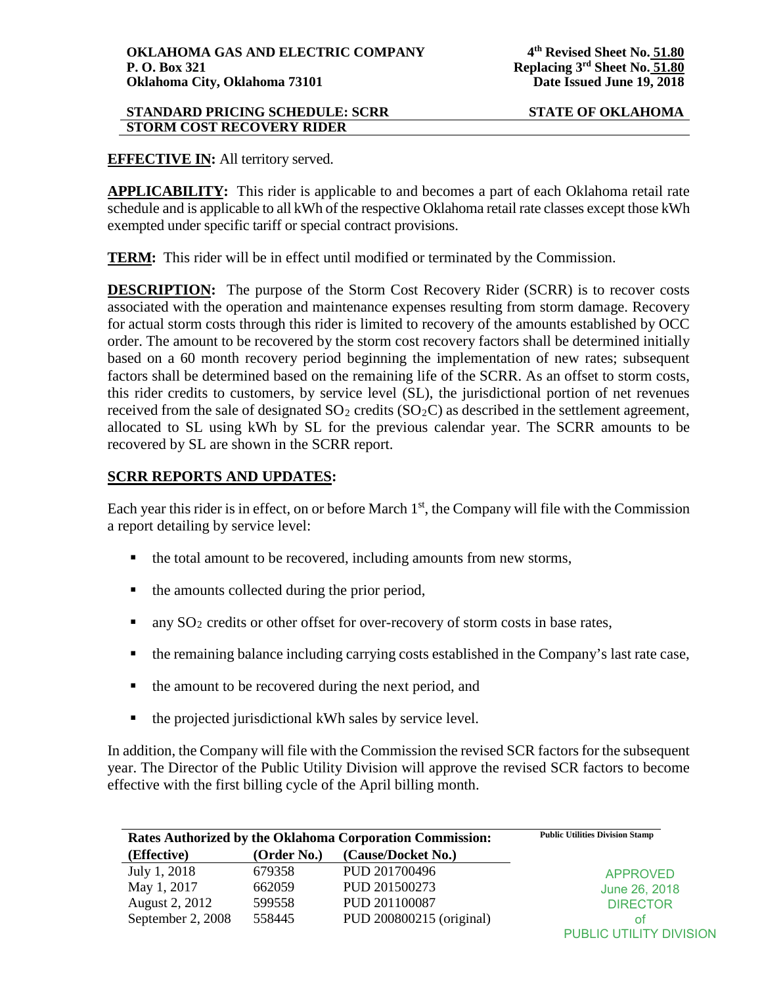#### **STANDARD PRICING SCHEDULE: SCRR STATE OF OKLAHOMA STORM COST RECOVERY RIDER**

## **EFFECTIVE IN:** All territory served.

**APPLICABILITY:** This rider is applicable to and becomes a part of each Oklahoma retail rate schedule and is applicable to all kWh of the respective Oklahoma retail rate classes except those kWh exempted under specific tariff or special contract provisions.

**TERM:** This rider will be in effect until modified or terminated by the Commission.

**DESCRIPTION:** The purpose of the Storm Cost Recovery Rider (SCRR) is to recover costs associated with the operation and maintenance expenses resulting from storm damage. Recovery for actual storm costs through this rider is limited to recovery of the amounts established by OCC order. The amount to be recovered by the storm cost recovery factors shall be determined initially based on a 60 month recovery period beginning the implementation of new rates; subsequent factors shall be determined based on the remaining life of the SCRR. As an offset to storm costs, this rider credits to customers, by service level (SL), the jurisdictional portion of net revenues received from the sale of designated  $SO_2$  credits  $(SO_2C)$  as described in the settlement agreement, allocated to SL using kWh by SL for the previous calendar year. The SCRR amounts to be recovered by SL are shown in the SCRR report.

# **SCRR REPORTS AND UPDATES:**

Each year this rider is in effect, on or before March  $1<sup>st</sup>$ , the Company will file with the Commission a report detailing by service level:

- the total amount to be recovered, including amounts from new storms,
- $\blacksquare$  the amounts collected during the prior period,
- any SO2 credits or other offset for over-recovery of storm costs in base rates,
- the remaining balance including carrying costs established in the Company's last rate case,
- the amount to be recovered during the next period, and
- the projected jurisdictional kWh sales by service level.

In addition, the Company will file with the Commission the revised SCR factors for the subsequent year. The Director of the Public Utility Division will approve the revised SCR factors to become effective with the first billing cycle of the April billing month.

| Rates Authorized by the Oklahoma Corporation Commission: |             | <b>Public Utilities Division Stamp</b> |                         |
|----------------------------------------------------------|-------------|----------------------------------------|-------------------------|
| (Effective)                                              | (Order No.) | (Cause/Docket No.)                     |                         |
| July 1, 2018                                             | 679358      | PUD 201700496                          | <b>APPROVED</b>         |
| May 1, 2017                                              | 662059      | PUD 201500273                          | June 26, 2018           |
| August 2, 2012                                           | 599558      | PUD 201100087                          | <b>DIRECTOR</b>         |
| September 2, 2008                                        | 558445      | PUD 200800215 (original)               | οt                      |
|                                                          |             |                                        | PUBLIC UTILITY DIVISION |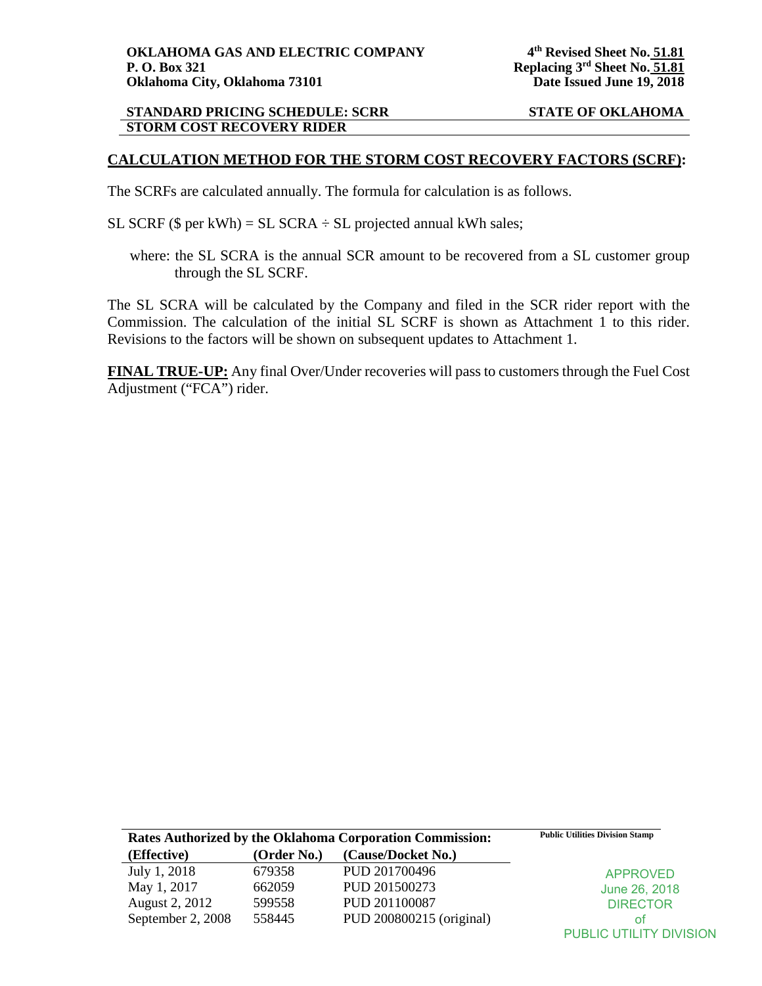#### **STANDARD PRICING SCHEDULE: SCRR STATE OF OKLAHOMA STORM COST RECOVERY RIDER**

### **CALCULATION METHOD FOR THE STORM COST RECOVERY FACTORS (SCRF):**

The SCRFs are calculated annually. The formula for calculation is as follows.

- SL SCRF ( $\$$  per kWh) = SL SCRA  $\div$  SL projected annual kWh sales;
	- where: the SL SCRA is the annual SCR amount to be recovered from a SL customer group through the SL SCRF.

The SL SCRA will be calculated by the Company and filed in the SCR rider report with the Commission. The calculation of the initial SL SCRF is shown as Attachment 1 to this rider. Revisions to the factors will be shown on subsequent updates to Attachment 1.

**FINAL TRUE-UP:** Any final Over/Under recoveries will pass to customers through the Fuel Cost Adjustment ("FCA") rider.

| Rates Authorized by the Oklahoma Corporation Commission: |             | <b>Public Utilities Division Stamp</b> |                                |
|----------------------------------------------------------|-------------|----------------------------------------|--------------------------------|
| (Effective)                                              | (Order No.) | (Cause/Docket No.)                     |                                |
| July 1, 2018                                             | 679358      | PUD 201700496                          | <b>APPROVED</b>                |
| May 1, 2017                                              | 662059      | PUD 201500273                          | June 26, 2018                  |
| August 2, 2012                                           | 599558      | PUD 201100087                          | <b>DIRECTOR</b>                |
| September 2, 2008                                        | 558445      | PUD 200800215 (original)               | οt                             |
|                                                          |             |                                        | <b>PUBLIC UTILITY DIVISION</b> |